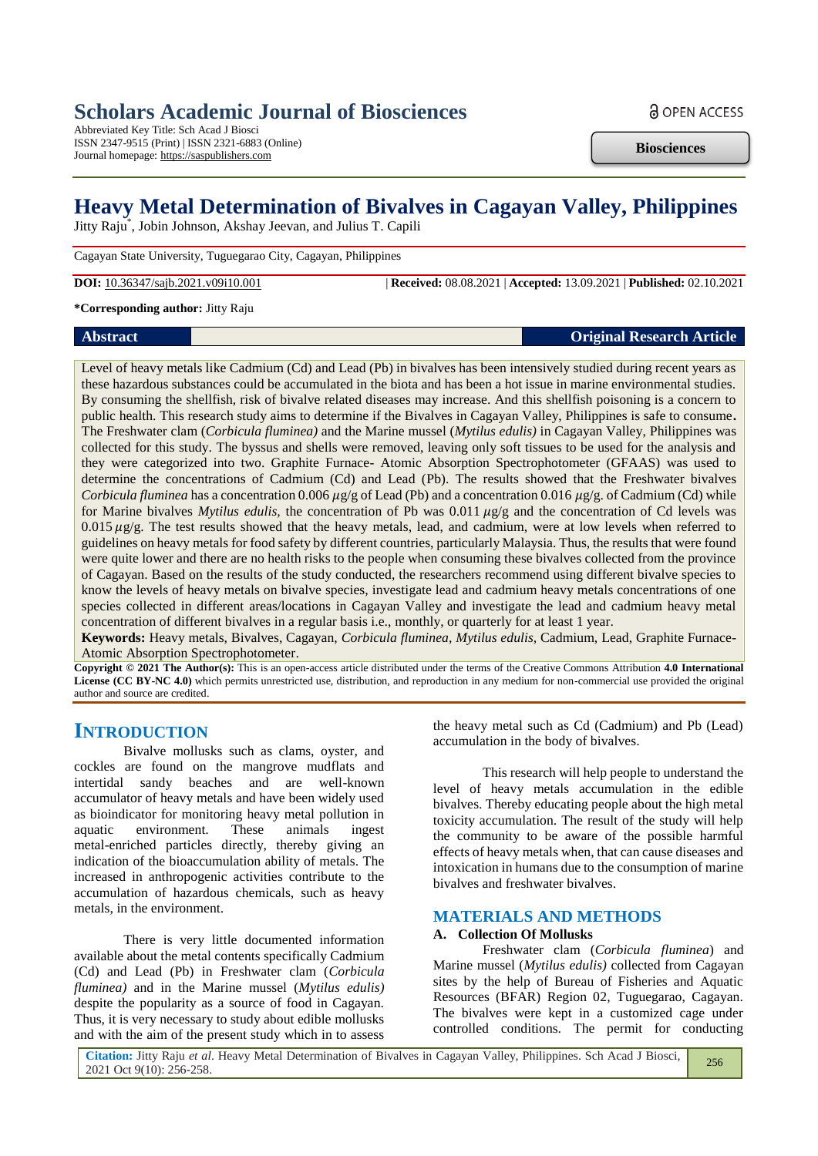# **Scholars Academic Journal of Biosciences**

Abbreviated Key Title: Sch Acad J Biosci ISSN 2347-9515 (Print) | ISSN 2321-6883 (Online) Journal homepage: https://saspublishers.com

**Biosciences**

**a** OPEN ACCESS

# **Heavy Metal Determination of Bivalves in Cagayan Valley, Philippines**

Jitty Raju\* , Jobin Johnson, Akshay Jeevan, and Julius T. Capili

Cagayan State University, Tuguegarao City, Cagayan, Philippines

**DOI:** 10.36347/sajb.2021.v09i10.001 | **Received:** 08.08.2021 | **Accepted:** 13.09.2021 | **Published:** 02.10.2021

#### **\*Corresponding author:** Jitty Raju

## **Abstract Original Research Article**

Level of heavy metals like Cadmium (Cd) and Lead (Pb) in bivalves has been intensively studied during recent years as these hazardous substances could be accumulated in the biota and has been a hot issue in marine environmental studies. By consuming the shellfish, risk of bivalve related diseases may increase. And this shellfish poisoning is a concern to public health. This research study aims to determine if the Bivalves in Cagayan Valley, Philippines is safe to consume**.**  The Freshwater clam (*Corbicula fluminea)* and the Marine mussel (*Mytilus edulis)* in Cagayan Valley, Philippines was collected for this study. The byssus and shells were removed, leaving only soft tissues to be used for the analysis and they were categorized into two. Graphite Furnace- Atomic Absorption Spectrophotometer (GFAAS) was used to determine the concentrations of Cadmium (Cd) and Lead (Pb). The results showed that the Freshwater bivalves *Corbicula fluminea* has a concentration 0.006  $\mu$ g/g of Lead (Pb) and a concentration 0.016  $\mu$ g/g. of Cadmium (Cd) while for Marine bivalves *Mytilus edulis*, the concentration of Pb was  $0.011 \mu g/g$  and the concentration of Cd levels was  $0.015 \mu g/g$ . The test results showed that the heavy metals, lead, and cadmium, were at low levels when referred to guidelines on heavy metals for food safety by different countries, particularly Malaysia. Thus, the results that were found were quite lower and there are no health risks to the people when consuming these bivalves collected from the province of Cagayan. Based on the results of the study conducted, the researchers recommend using different bivalve species to know the levels of heavy metals on bivalve species, investigate lead and cadmium heavy metals concentrations of one species collected in different areas/locations in Cagayan Valley and investigate the lead and cadmium heavy metal concentration of different bivalves in a regular basis i.e., monthly, or quarterly for at least 1 year.

**Keywords:** Heavy metals, Bivalves, Cagayan, *Corbicula fluminea, Mytilus edulis,* Cadmium, Lead, Graphite Furnace-Atomic Absorption Spectrophotometer.

**Copyright © 2021 The Author(s):** This is an open-access article distributed under the terms of the Creative Commons Attribution **4.0 International License (CC BY-NC 4.0)** which permits unrestricted use, distribution, and reproduction in any medium for non-commercial use provided the original author and source are credited.

# **INTRODUCTION**

Bivalve mollusks such as clams, oyster, and cockles are found on the mangrove mudflats and intertidal sandy beaches and are well-known accumulator of heavy metals and have been widely used as bioindicator for monitoring heavy metal pollution in aquatic environment. These animals ingest metal-enriched particles directly, thereby giving an indication of the bioaccumulation ability of metals. The increased in anthropogenic activities contribute to the accumulation of hazardous chemicals, such as heavy metals, in the environment.

There is very little documented information available about the metal contents specifically Cadmium (Cd) and Lead (Pb) in Freshwater clam (*Corbicula fluminea)* and in the Marine mussel (*Mytilus edulis)*  despite the popularity as a source of food in Cagayan. Thus, it is very necessary to study about edible mollusks and with the aim of the present study which in to assess

the heavy metal such as Cd (Cadmium) and Pb (Lead) accumulation in the body of bivalves.

This research will help people to understand the level of heavy metals accumulation in the edible bivalves. Thereby educating people about the high metal toxicity accumulation. The result of the study will help the community to be aware of the possible harmful effects of heavy metals when, that can cause diseases and intoxication in humans due to the consumption of marine bivalves and freshwater bivalves.

## **MATERIALS AND METHODS**

#### **A. Collection Of Mollusks**

Freshwater clam (*Corbicula fluminea*) and Marine mussel (*Mytilus edulis)* collected from Cagayan sites by the help of Bureau of Fisheries and Aquatic Resources (BFAR) Region 02, Tuguegarao, Cagayan. The bivalves were kept in a customized cage under controlled conditions. The permit for conducting

256

**Citation:** Jitty Raju *et al*. Heavy Metal Determination of Bivalves in Cagayan Valley, Philippines. Sch Acad J Biosci, 2021 Oct 9(10): 256-258.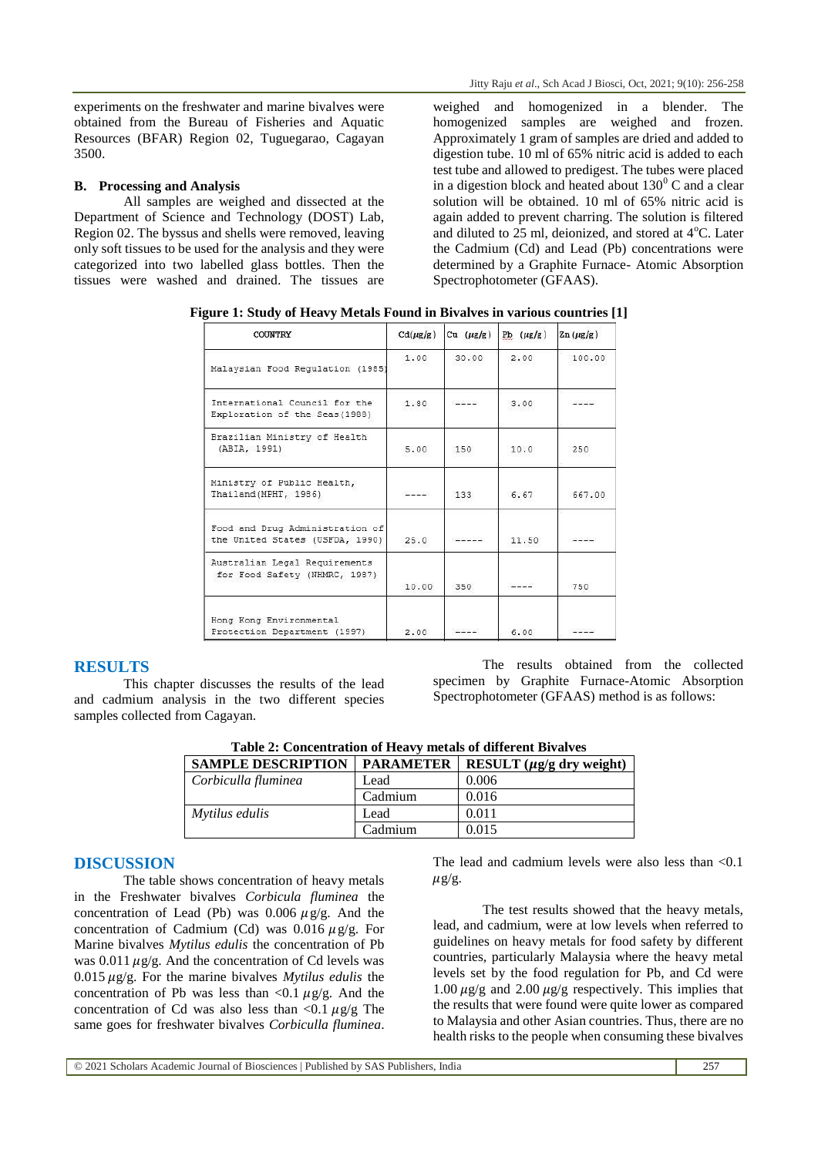experiments on the freshwater and marine bivalves were obtained from the Bureau of Fisheries and Aquatic Resources (BFAR) Region 02, Tuguegarao, Cagayan 3500.

#### **B. Processing and Analysis**

All samples are weighed and dissected at the Department of Science and Technology (DOST) Lab, Region 02. The byssus and shells were removed, leaving only soft tissues to be used for the analysis and they were categorized into two labelled glass bottles. Then the tissues were washed and drained. The tissues are

weighed and homogenized in a blender. The homogenized samples are weighed and frozen. Approximately 1 gram of samples are dried and added to digestion tube. 10 ml of 65% nitric acid is added to each test tube and allowed to predigest. The tubes were placed in a digestion block and heated about  $130<sup>0</sup>$  C and a clear solution will be obtained. 10 ml of 65% nitric acid is again added to prevent charring. The solution is filtered and diluted to  $25$  ml, deionized, and stored at  $4^{\circ}$ C. Later the Cadmium (Cd) and Lead (Pb) concentrations were determined by a Graphite Furnace- Atomic Absorption Spectrophotometer (GFAAS).

| COUNTRY                                                            | $Cd(\mu g/g)$ | Cu $(\mu g/g)$ | $Pb (\mu g/g)$ | $\text{Zn}(\mu\text{g}/\text{g})$ |
|--------------------------------------------------------------------|---------------|----------------|----------------|-----------------------------------|
| Malaysian Food Regulation (1985)                                   | 1.00          | 30.00          | 2.00           | 100.00                            |
| International Council for the<br>Exploration of the Seas (1988)    | 1.80          |                | 3.00           |                                   |
| Brazilian Ministry of Health<br>(ABIA, 1991)                       | 5.00          | 150            | 10.0           | 250                               |
| Ministry of Public Health,<br>Thailand (MPHT, 1986)                |               | 133            | 6.67           | 667.00                            |
| Food and Drug Administration of<br>the United States (USFDA, 1990) | 25.0          |                | 11.50          | wasan kalendar                    |
| Australian Legal Requirements<br>for Food Safety (NHMRC, 1987)     | 10.00         | 350            |                | 750                               |
| Hong Kong Environmental<br>Protection Department (1997)            | 2.00          |                | 6.00           |                                   |

**Figure 1: Study of Heavy Metals Found in Bivalves in various countries [1]**

## **RESULTS**

This chapter discusses the results of the lead and cadmium analysis in the two different species samples collected from Cagayan.

The results obtained from the collected specimen by Graphite Furnace-Atomic Absorption Spectrophotometer (GFAAS) method is as follows:

| Table 2: Concentration of Heavy metals of different Bivalves |                  |                                |  |  |
|--------------------------------------------------------------|------------------|--------------------------------|--|--|
| <b>SAMPLE DESCRIPTION</b>                                    | <b>PARAMETER</b> | RESULT $(\mu g/g)$ dry weight) |  |  |
| Corbiculla fluminea                                          | Lead             | 0.006                          |  |  |
|                                                              | Cadmium          | 0.016                          |  |  |
| Mytilus edulis                                               | Lead             | 0.011                          |  |  |
|                                                              | Cadmium          | 0.015                          |  |  |

**Table 2: Concentration of Heavy metals of different Bivalves**

## **DISCUSSION**

The table shows concentration of heavy metals in the Freshwater bivalves *Corbicula fluminea* the concentration of Lead (Pb) was 0.006  $\mu$ g/g. And the concentration of Cadmium (Cd) was  $0.016 \mu$ g/g. For Marine bivalves *Mytilus edulis* the concentration of Pb was 0.011  $\mu$ g/g. And the concentration of Cd levels was 0.015  $\mu$ g/g. For the marine bivalves *Mytilus edulis* the concentration of Pb was less than  $\langle 0.1 \mu g/g$ . And the concentration of Cd was also less than  $\langle 0.1 \mu g/g \rangle$  The same goes for freshwater bivalves *Corbiculla fluminea*.

The lead and cadmium levels were also less than  $< 0.1$  $\mu$ g/g.

The test results showed that the heavy metals, lead, and cadmium, were at low levels when referred to guidelines on heavy metals for food safety by different countries, particularly Malaysia where the heavy metal levels set by the food regulation for Pb, and Cd were 1.00  $\mu$ g/g and 2.00  $\mu$ g/g respectively. This implies that the results that were found were quite lower as compared to Malaysia and other Asian countries. Thus, there are no health risks to the people when consuming these bivalves

© 2021 Scholars Academic Journal of Biosciences | Published by SAS Publishers, India 257